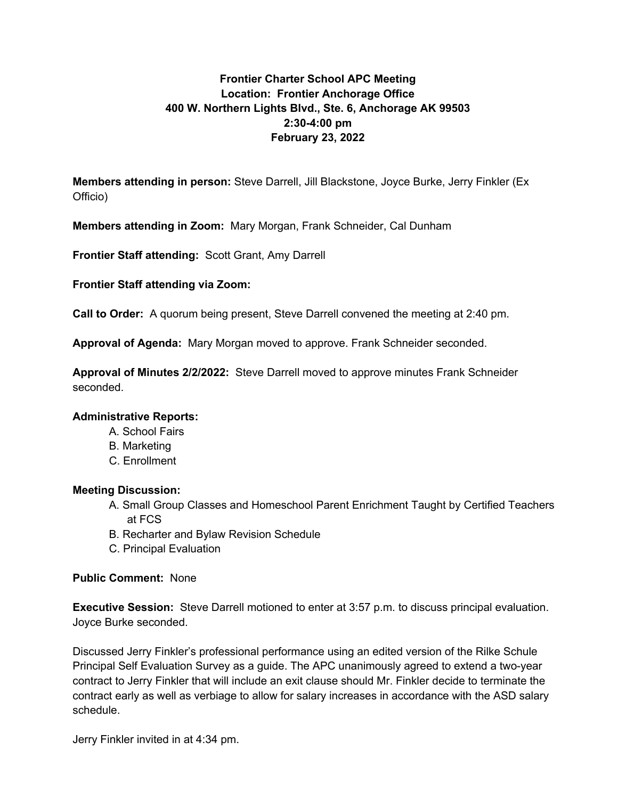## **Frontier Charter School APC Meeting Location: Frontier Anchorage Office 400 W. Northern Lights Blvd., Ste. 6, Anchorage AK 99503 2:30-4:00 pm February 23, 2022**

**Members attending in person:** Steve Darrell, Jill Blackstone, Joyce Burke, Jerry Finkler (Ex Officio)

**Members attending in Zoom:** Mary Morgan, Frank Schneider, Cal Dunham

**Frontier Staff attending:** Scott Grant, Amy Darrell

**Frontier Staff attending via Zoom:**

**Call to Order:** A quorum being present, Steve Darrell convened the meeting at 2:40 pm.

**Approval of Agenda:** Mary Morgan moved to approve. Frank Schneider seconded.

**Approval of Minutes 2/2/2022:** Steve Darrell moved to approve minutes Frank Schneider seconded.

## **Administrative Reports:**

- A. School Fairs
- B. Marketing
- C. Enrollment

## **Meeting Discussion:**

- A. Small Group Classes and Homeschool Parent Enrichment Taught by Certified Teachers at FCS
- B. Recharter and Bylaw Revision Schedule
- C. Principal Evaluation

## **Public Comment:** None

**Executive Session:** Steve Darrell motioned to enter at 3:57 p.m. to discuss principal evaluation. Joyce Burke seconded.

Discussed Jerry Finkler's professional performance using an edited version of the Rilke Schule Principal Self Evaluation Survey as a guide. The APC unanimously agreed to extend a two-year contract to Jerry Finkler that will include an exit clause should Mr. Finkler decide to terminate the contract early as well as verbiage to allow for salary increases in accordance with the ASD salary schedule.

Jerry Finkler invited in at 4:34 pm.